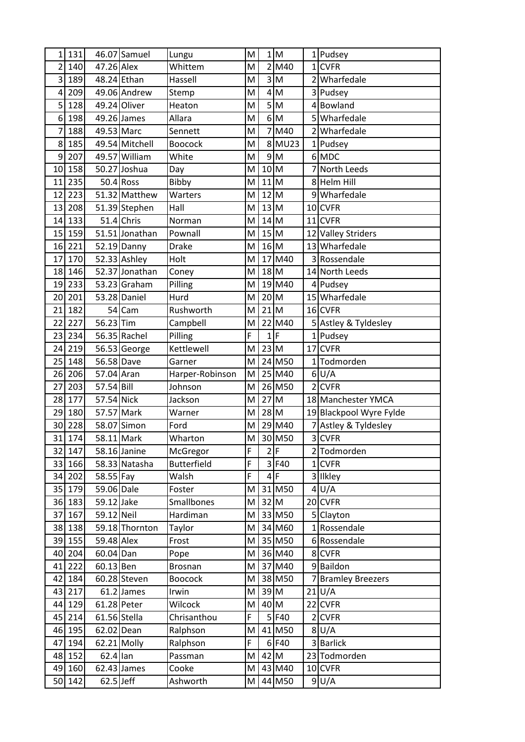| 1              | 131    |                | 46.07 Samuel   | Lungu              | M | $\mathbf{1}$               | M                                                                                                          |                | 1 Pudsey                |
|----------------|--------|----------------|----------------|--------------------|---|----------------------------|------------------------------------------------------------------------------------------------------------|----------------|-------------------------|
| $\overline{2}$ | 140    | 47.26 Alex     |                | Whittem            | M | $\overline{2}$             | M40                                                                                                        |                | 1 CVFR                  |
| 3              | 189    |                | 48.24 Ethan    | Hassell            | M |                            | 3M                                                                                                         |                | 2 Wharfedale            |
| 4              | 209    |                | 49.06 Andrew   | Stemp              | M | 4                          | M                                                                                                          |                | 3 Pudsey                |
| 5              | 128    |                | 49.24 Oliver   | Heaton             | M | $\overline{5}$             | M                                                                                                          | 4              | Bowland                 |
| 6              | 198    |                | 49.26 James    | Allara             | M | 6 <sup>1</sup>             | $\mathsf{M}% _{T}=\mathsf{M}_{T}\!\left( a,b\right) ,\ \mathsf{M}_{T}=\mathsf{M}_{T}$                      |                | 5 Wharfedale            |
| $\overline{7}$ | 188    | 49.53 Marc     |                | Sennett            | M | $\overline{7}$             | M40                                                                                                        |                | 2 Wharfedale            |
| 8              | 185    |                | 49.54 Mitchell | <b>Boocock</b>     | M |                            | 8 MU23                                                                                                     |                | 1 Pudsey                |
| 9              | 207    |                | 49.57 William  | White              | M |                            | 9M                                                                                                         |                | 6 MDC                   |
| 10             | 158    |                | 50.27 Joshua   | Day                | M | $10 \overline{\mathrm{M}}$ |                                                                                                            |                | 7 North Leeds           |
| 11             | 235    |                | $50.4$ Ross    | Bibby              | M | $11$ M                     |                                                                                                            |                | 8 Helm Hill             |
| 12             | 223    |                | 51.32 Matthew  | Warters            | M | 12 M                       |                                                                                                            |                | 9 Wharfedale            |
| 13             | 208    |                | 51.39 Stephen  | Hall               | M | $13$ M                     |                                                                                                            |                | 10 CVFR                 |
| 14             | 133    |                | $51.4$ Chris   | Norman             | M | $14$ M                     |                                                                                                            |                | $11$ CVFR               |
| 15             | 159    |                | 51.51 Jonathan | Pownall            | M | 15M                        |                                                                                                            |                | 12 Valley Striders      |
| 16             | 221    |                | 52.19 Danny    | <b>Drake</b>       | M | $16$ M                     |                                                                                                            |                | 13 Wharfedale           |
| 17             | 170    |                | $52.33$ Ashley | Holt               | M |                            | $\overline{17}$ M40                                                                                        |                | 3 Rossendale            |
| 18             | 146    |                | 52.37 Jonathan | Coney              | M | 18 M                       |                                                                                                            |                | 14 North Leeds          |
| 19             | 233    |                | 53.23 Graham   | Pilling            | M |                            | 19 M40                                                                                                     |                | 4 Pudsey                |
| 20             | 201    |                | 53.28 Daniel   | Hurd               | M | $20$ M                     |                                                                                                            |                | 15 Wharfedale           |
| 21             | 182    |                | 54 Cam         | Rushworth          | M | $21$ M                     |                                                                                                            |                | 16 CVFR                 |
| 22             | 227    | 56.23 Tim      |                | Campbell           | M |                            | 22 M40                                                                                                     |                | 5 Astley & Tyldesley    |
| 23             | 234    |                | 56.35 Rachel   | Pilling            | F | $\mathbf{1}$               | F                                                                                                          |                | 1 Pudsey                |
| 24             | 219    |                | 56.53 George   | Kettlewell         | M | $23$ M                     |                                                                                                            |                | 17 CVFR                 |
| 25             | 148    | 56.58 Dave     |                | Garner             | M |                            | 24 M50                                                                                                     | 1              | Todmorden               |
| 26             | 206    | 57.04 Aran     |                | Harper-Robinson    | M |                            | 25 M40                                                                                                     |                | 6 U/A                   |
| 27             | 203    | 57.54 Bill     |                | Johnson            | M |                            | 26 M50                                                                                                     | $\overline{2}$ | <b>CVFR</b>             |
| 28             | 177    | 57.54 Nick     |                | Jackson            | M | 27                         | $\mathsf{M}% _{T}=\mathsf{M}_{T}\!\left( a,b\right) ,\ \mathsf{M}_{T}=\mathsf{M}_{T}\!\left( a,b\right) ,$ |                | 18 Manchester YMCA      |
| 29             | 180    | 57.57 Mark     |                | Warner             | M | $28$ M                     |                                                                                                            |                | 19 Blackpool Wyre Fylde |
| 30             | 228    |                | 58.07 Simon    | Ford               | M |                            | 29 M40                                                                                                     |                | Astley & Tyldesley      |
| 31             | 174    | 58.11 Mark     |                | Wharton            | M |                            | 30 M50                                                                                                     |                | 3 CVFR                  |
| 32             | 147    |                | 58.16 Janine   | McGregor           | F | $\overline{2}$             | $\mathsf F$                                                                                                |                | 2 Todmorden             |
|                | 33 166 |                | 58.33 Natasha  | <b>Butterfield</b> | F |                            | $3$ F40                                                                                                    |                | $1$ CVFR                |
| 34             | 202    | 58.55 Fay      |                | Walsh              | F | $\overline{\mathbf{4}}$    | $\mathsf F$                                                                                                |                | 3 Ilkley                |
|                | 35 179 | 59.06 Dale     |                | Foster             | M |                            | 31 M50                                                                                                     | 4              | U/A                     |
|                | 36 183 | 59.12 Jake     |                | <b>Smallbones</b>  | M | $32$ M                     |                                                                                                            |                | 20 CVFR                 |
| 37             | 167    | 59.12 Neil     |                | Hardiman           | M |                            | 33 M50                                                                                                     |                | 5 Clayton               |
|                | 38 138 |                | 59.18 Thornton | Taylor             | M |                            | 34 M60                                                                                                     |                | 1 Rossendale            |
|                | 39 155 | 59.48 Alex     |                | Frost              | M |                            | 35 M50                                                                                                     |                | 6 Rossendale            |
| 40             | 204    | 60.04 Dan      |                | Pope               | M |                            | 36 M40                                                                                                     |                | 8 CVFR                  |
| 41             | 222    | $60.13$ Ben    |                | <b>Brosnan</b>     | M |                            | 37 M40                                                                                                     |                | 9Baildon                |
|                | 42 184 |                | 60.28 Steven   | <b>Boocock</b>     | M |                            | 38 M50                                                                                                     |                | <b>Bramley Breezers</b> |
| 43             | 217    |                | $61.2$ James   | Irwin              | M | 39 M                       |                                                                                                            |                | $21$ U/A                |
|                | 44 129 |                | $61.28$ Peter  | Wilcock            | M | 40 M                       |                                                                                                            |                | 22 CVFR                 |
|                | 45 214 | $61.56$ Stella |                | Chrisanthou        | F |                            | 5 F40                                                                                                      |                | $2$ CVFR                |
| 46             | 195    | 62.02 Dean     |                | Ralphson           | M |                            | 41 M50                                                                                                     |                | 8 U/A                   |
| 47             | 194    |                | 62.21 Molly    | Ralphson           | F |                            | 6 F40                                                                                                      |                | 3 Barlick               |
|                | 48 152 | $62.4$ lan     |                | Passman            | M | 42 M                       |                                                                                                            |                | 23 Todmorden            |
|                | 49 160 |                | $62.43$ James  | Cooke              | M |                            | 43 M40                                                                                                     |                | 10 CVFR                 |
|                | 50 142 | $62.5$ Jeff    |                | Ashworth           | M |                            | 44 M50                                                                                                     |                | 9 U/A                   |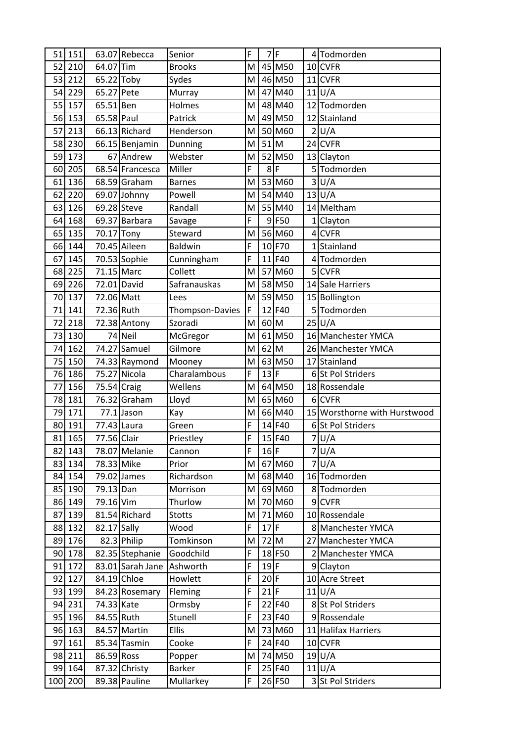| 51     | 151               |             | 63.07 Rebecca                  | Senior                     | F              |        | 7F               |                | 4 Todmorden                  |
|--------|-------------------|-------------|--------------------------------|----------------------------|----------------|--------|------------------|----------------|------------------------------|
| 52     | 210               | 64.07 Tim   |                                | <b>Brooks</b>              | M              |        | 45 M50           |                | 10 CVFR                      |
| 53     | 212               | 65.22 Toby  |                                | Sydes                      | M              |        | 46 M50           |                | $11$ CVFR                    |
| 54     | 229               | 65.27 Pete  |                                | Murray                     | M              |        | 47 M40           |                | $11$ U/A                     |
| 55     | 157               | 65.51 Ben   |                                | Holmes                     | M              |        | 48 M40           |                | 12 Todmorden                 |
| 56     | 153               | 65.58 Paul  |                                | Patrick                    | M              |        | 49 M50           |                | 12 Stainland                 |
| 57     | 213               |             | 66.13 Richard                  | Henderson                  | M              |        | 50 M60           | $\overline{2}$ | U/A                          |
| 58     | 230               |             | 66.15 Benjamin                 | Dunning                    | M              | $51$ M |                  |                | 24 CVFR                      |
| 59     | 173               |             | 67 Andrew                      | Webster                    | M              |        | 52 M50           |                | 13 Clayton                   |
| 60     | 205               |             | 68.54 Francesca                | Miller                     | F              | $8$ F  |                  |                | 5 Todmorden                  |
| 61     | 136               |             | 68.59 Graham                   | <b>Barnes</b>              | M              |        | 53 M60           | $\overline{3}$ | U/A                          |
| 62     | 220               |             | 69.07 Johnny                   | Powell                     | M              |        | 54 M40           |                | 13 U/A                       |
| 63     | 126               | 69.28 Steve |                                | Randall                    | M              |        | 55 M40           |                | 14 Meltham                   |
| 64     | 168               |             | 69.37 Barbara                  | Savage                     | F              |        | 9 F50            | $1\vert$       | Clayton                      |
| 65     | 135               | 70.17 Tony  |                                | Steward                    | M              |        | 56 M60           |                | 4 CVFR                       |
| 66     | 144               |             | 70.45 Aileen                   | <b>Baldwin</b>             | F              |        | 10 F70           |                | 1 Stainland                  |
| 67     | 145               |             | 70.53 Sophie                   | Cunningham                 | F              |        | 11 F40           |                | 4 Todmorden                  |
| 68     | 225               | 71.15 Marc  |                                | Collett                    | M              |        | 57 M60           |                | 5 CVFR                       |
| 69     | 226               | 72.01 David |                                | Safranauskas               | M              |        | 58 M50           |                | 14 Sale Harriers             |
| 70     | 137               | 72.06 Matt  |                                | Lees                       | M              |        | 59 M50           |                | 15 Bollington                |
| 71     | 141               | 72.36 Ruth  |                                | Thompson-Davies            | F              |        | 12 F40           |                | 5 Todmorden                  |
| 72     | 218               |             | 72.38 Antony                   | Szoradi                    | M              | $60$ M |                  |                | 25 U/A                       |
| 73     | 130               |             | 74 Neil                        | McGregor                   | M              |        | 61 M50           |                | 16 Manchester YMCA           |
| 74     | 162               |             | 74.27 Samuel                   | Gilmore                    | M              | $62$ M |                  |                | 26 Manchester YMCA           |
| 75     | 150               |             | 74.33 Raymond                  | Mooney                     | M              |        | 63 M50           |                | 17 Stainland                 |
| 76     | 186               |             | 75.27 Nicola                   | Charalambous               | F              | 13F    |                  |                | 6 St Pol Striders            |
| 77     | 156               | 75.54 Craig |                                | Wellens                    | M              |        | 64 M50           |                | 18 Rossendale                |
| 78     | 181               |             | 76.32 Graham                   | Lloyd                      | M              |        | 65 M60           |                | 6 CVFR                       |
| 79     | 171               |             | $77.1$ Jason                   | Kay                        | M              |        | 66 M40           |                | 15 Worsthorne with Hurstwood |
| 80     | 191               | 77.43 Laura |                                | Green                      | F              |        | 14 F40           |                | 6 St Pol Striders            |
|        | 81 165            | 77.56 Clair |                                | Priestley                  | $\overline{F}$ |        | 15 F40           |                | 7 U/A                        |
| 82     | 143               |             | 78.07 Melanie                  | Cannon                     | F              | $16$ F |                  |                | 7 U/A                        |
|        | 83 134            | 78.33 Mike  |                                | Prior                      | M              |        | 67 M60           |                | 7 U/A                        |
|        | 84 154            |             | 79.02 James                    | Richardson                 | M              |        | 68 M40           |                | 16 Todmorden                 |
|        | 85 190            | 79.13 Dan   |                                | Morrison                   | M              |        | 69 M60           |                | 8 Todmorden                  |
|        | 86 149            | 79.16 Vim   |                                | Thurlow                    | M              |        | 70 M60           |                | 9 CVFR                       |
| 87     | 139               |             | 81.54 Richard                  | <b>Stotts</b>              | M              |        | 71 M60           |                | 10 Rossendale                |
|        | 88 132            | 82.17 Sally |                                | Wood                       | F              | $17$ F |                  |                | 8 Manchester YMCA            |
|        | 89 176            |             | 82.3 Philip                    | Tomkinson                  | M              | $72$ M |                  |                | 27 Manchester YMCA           |
|        | 90 178            |             | 82.35 Stephanie                | Goodchild                  | F              |        | 18 F50           |                | 2 Manchester YMCA            |
|        | 91 172            |             | 83.01 Sarah Jane               | Ashworth                   | F              | $19$ F |                  |                | 9 Clayton                    |
| 92     | 127               |             | 84.19 Chloe                    | Howlett                    | F              | $20$ F |                  |                | 10 Acre Street               |
|        | 93 199            |             | 84.23 Rosemary                 | Fleming                    | F              | $21$ F |                  |                | 11 U/A                       |
|        | 94 231            | 74.33 Kate  |                                | Ormsby                     | F              |        | 22 F40           |                | 8 St Pol Striders            |
|        | 95 196            | 84.55 Ruth  |                                | Stunell                    | F              |        | 23 F40           |                | 9 Rossendale                 |
|        |                   |             | 84.57 Martin                   | <b>Ellis</b>               | M              |        | 73 M60           |                | 11 Halifax Harriers          |
|        |                   |             |                                |                            |                |        | 24 F40           |                | 10 CVFR                      |
| 96 163 |                   |             |                                |                            |                |        |                  |                |                              |
| 97     | 161               |             | 85.34 Tasmin                   | Cooke                      | F              |        |                  |                |                              |
|        | 98 211            | 86.59 Ross  |                                | Popper                     | M              |        | 74 M50           |                | 19 U/A                       |
|        | 99 164<br>100 200 |             | 87.32 Christy<br>89.38 Pauline | <b>Barker</b><br>Mullarkey | F<br>F         |        | 25 F40<br>26 F50 |                | 11 U/A<br>3 St Pol Striders  |